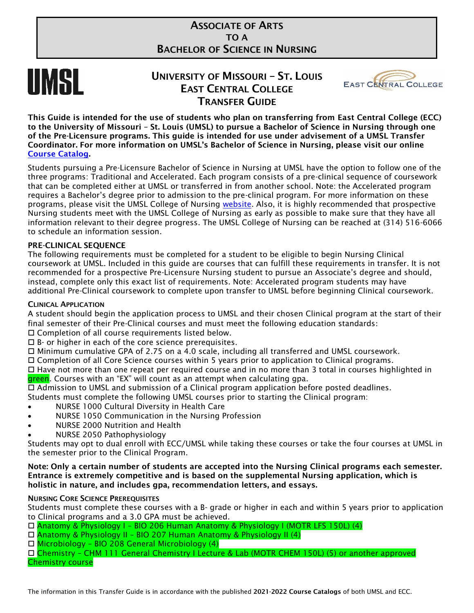# ASSOCIATE OF ARTS TO A BACHELOR OF SCIENCE IN NURSING



# UNIVERSITY OF MISSOURI – ST. LOUIS EAST CENTRAL COLLEGE TRANSFER GUIDE



This Guide is intended for the use of students who plan on transferring from East Central College (ECC) to the University of Missouri – St. Louis (UMSL) to pursue a Bachelor of Science in Nursing through one of the Pre-Licensure programs. This guide is intended for use under advisement of a UMSL Transfer Coordinator. For more information on UMSL's Bachelor of Science in Nursing, please visit our online [Course Catalog.](https://bulletin.umsl.edu/)

Students pursuing a Pre-Licensure Bachelor of Science in Nursing at UMSL have the option to follow one of the three programs: Traditional and Accelerated. Each program consists of a pre-clinical sequence of coursework that can be completed either at UMSL or transferred in from another school. Note: the Accelerated program requires a Bachelor's degree prior to admission to the pre-clinical program. For more information on these programs, please visit the UMSL College of Nursing [website.](https://www.umsl.edu/~nursingweb/) Also, it is highly recommended that prospective Nursing students meet with the UMSL College of Nursing as early as possible to make sure that they have all information relevant to their degree progress. The UMSL College of Nursing can be reached at (314) 516-6066 to schedule an information session.

# PRE-CLINICAL SEQUENCE

The following requirements must be completed for a student to be eligible to begin Nursing Clinical coursework at UMSL. Included in this guide are courses that can fulfill these requirements in transfer. It is not recommended for a prospective Pre-Licensure Nursing student to pursue an Associate's degree and should, instead, complete only this exact list of requirements. Note: Accelerated program students may have additional Pre-Clinical coursework to complete upon transfer to UMSL before beginning Clinical coursework.

# CLINICAL APPLICATION

A student should begin the application process to UMSL and their chosen Clinical program at the start of their final semester of their Pre-Clinical courses and must meet the following education standards:

Completion of all course requirements listed below.

 $\Box$  B- or higher in each of the core science prerequisites.

Minimum cumulative GPA of 2.75 on a 4.0 scale, including all transferred and UMSL coursework.

Completion of all Core Science courses within 5 years prior to application to Clinical programs.

 Have not more than one repeat per required course and in no more than 3 total in courses highlighted in green. Courses with an "EX" will count as an attempt when calculating gpa.

Admission to UMSL and submission of a Clinical program application before posted deadlines.

Students must complete the following UMSL courses prior to starting the Clinical program:

- NURSE 1000 Cultural Diversity in Health Care
- NURSE 1050 Communication in the Nursing Profession
- NURSE 2000 Nutrition and Health
- NURSE 2050 Pathophysiology

Students may opt to dual enroll with ECC/UMSL while taking these courses or take the four courses at UMSL in the semester prior to the Clinical Program.

Note: Only a certain number of students are accepted into the Nursing Clinical programs each semester. Entrance is extremely competitive and is based on the supplemental Nursing application, which is holistic in nature, and includes gpa, recommendation letters, and essays.

#### NURSING CORE SCIENCE PREREQUISITES

Students must complete these courses with a B- grade or higher in each and within 5 years prior to application to Clinical programs and a 3.0 GPA must be achieved.

- Anatomy & Physiology I BIO 206 Human Anatomy & Physiology I (MOTR LFS 150L) (4)
- Anatomy & Physiology II BIO 207 Human Anatomy & Physiology II (4)
- Microbiology BIO 208 General Microbiology (4)

 Chemistry – CHM 111 General Chemistry I Lecture & Lab (MOTR CHEM 150L) (5) or another approved Chemistry course